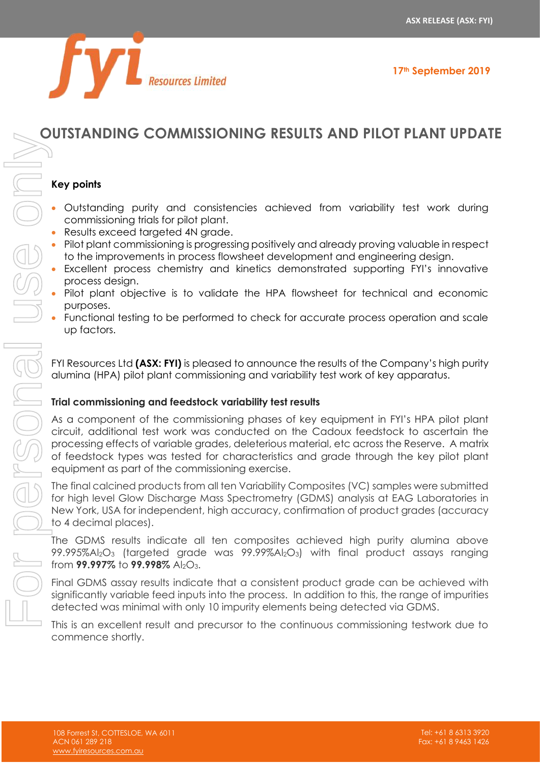

## **OUTSTANDING COMMISSIONING RESULTS AND PILOT PLANT UPDATE**

#### **Key points**

- Outstanding purity and consistencies achieved from variability test work during commissioning trials for pilot plant.
- Results exceed targeted 4N grade.
- Pilot plant commissioning is progressing positively and already proving valuable in respect to the improvements in process flowsheet development and engineering design.
- Excellent process chemistry and kinetics demonstrated supporting FYI's innovative process design.
- Pilot plant objective is to validate the HPA flowsheet for technical and economic purposes.
- Functional testing to be performed to check for accurate process operation and scale up factors.

FYI Resources Ltd **(ASX: FYI)** is pleased to announce the results of the Company's high purity alumina (HPA) pilot plant commissioning and variability test work of key apparatus.

#### **Trial commissioning and feedstock variability test results**

As a component of the commissioning phases of key equipment in FYI's HPA pilot plant circuit, additional test work was conducted on the Cadoux feedstock to ascertain the processing effects of variable grades, deleterious material, etc across the Reserve. A matrix of feedstock types was tested for characteristics and grade through the key pilot plant equipment as part of the commissioning exercise. This is a computer of the continuous continuous continuous control in the control of the continuous commission of the continuous commission of the continuous commission of the continuous commission of the continuous commis

The final calcined products from all ten Variability Composites (VC) samples were submitted for high level Glow Discharge Mass Spectrometry (GDMS) analysis at EAG Laboratories in New York, USA for independent, high accuracy, confirmation of product grades (accuracy to 4 decimal places).

The GDMS results indicate all ten composites achieved high purity alumina above  $99.995\%$ Al<sub>2</sub>O<sub>3</sub> (targeted grade was  $99.99\%$ Al<sub>2</sub>O<sub>3</sub>) with final product assays ranging from **99.997%** to **99.998%** Al<sub>2</sub>O<sub>3</sub>.

Final GDMS assay results indicate that a consistent product grade can be achieved with significantly variable feed inputs into the process. In addition to this, the range of impurities detected was minimal with only 10 impurity elements being detected via GDMS.

commence shortly.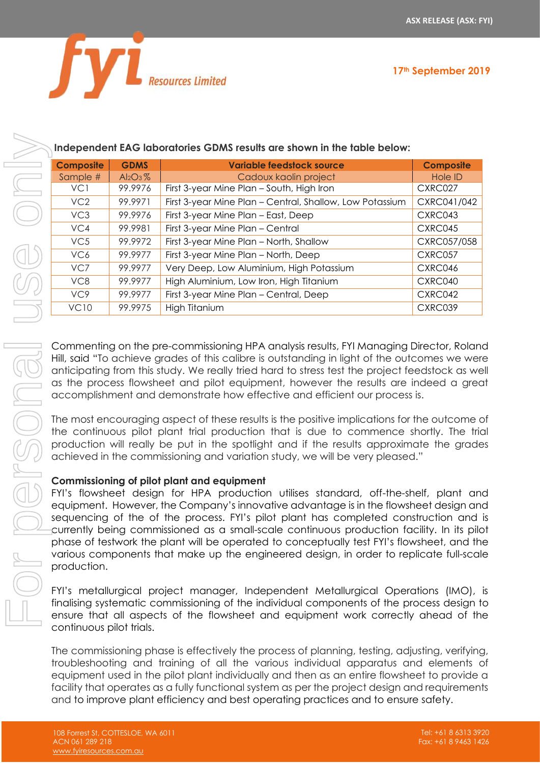

#### **Independent EAG laboratories GDMS results are shown in the table below:**

|                                                                                                                                                                                                                                                                                                                                                                                                                                                                                                                                                                                                                                                                                                                                                                                                                                                                                                                                                                                                                                                                                                                                                                                                                                                                                                                                                                                                                                                                                                                                                                  |             | Independent EAG laboratories GDMS results are shown in the table below:                                                                                                                                                                                                                                                                                                                                                                                                  |                  |  |
|------------------------------------------------------------------------------------------------------------------------------------------------------------------------------------------------------------------------------------------------------------------------------------------------------------------------------------------------------------------------------------------------------------------------------------------------------------------------------------------------------------------------------------------------------------------------------------------------------------------------------------------------------------------------------------------------------------------------------------------------------------------------------------------------------------------------------------------------------------------------------------------------------------------------------------------------------------------------------------------------------------------------------------------------------------------------------------------------------------------------------------------------------------------------------------------------------------------------------------------------------------------------------------------------------------------------------------------------------------------------------------------------------------------------------------------------------------------------------------------------------------------------------------------------------------------|-------------|--------------------------------------------------------------------------------------------------------------------------------------------------------------------------------------------------------------------------------------------------------------------------------------------------------------------------------------------------------------------------------------------------------------------------------------------------------------------------|------------------|--|
| <b>Composite</b>                                                                                                                                                                                                                                                                                                                                                                                                                                                                                                                                                                                                                                                                                                                                                                                                                                                                                                                                                                                                                                                                                                                                                                                                                                                                                                                                                                                                                                                                                                                                                 | <b>GDMS</b> | <b>Variable feedstock source</b>                                                                                                                                                                                                                                                                                                                                                                                                                                         | <b>Composite</b> |  |
| Sample #                                                                                                                                                                                                                                                                                                                                                                                                                                                                                                                                                                                                                                                                                                                                                                                                                                                                                                                                                                                                                                                                                                                                                                                                                                                                                                                                                                                                                                                                                                                                                         | $Al_2O_3\%$ | Cadoux kaolin project                                                                                                                                                                                                                                                                                                                                                                                                                                                    | Hole ID          |  |
| VC1                                                                                                                                                                                                                                                                                                                                                                                                                                                                                                                                                                                                                                                                                                                                                                                                                                                                                                                                                                                                                                                                                                                                                                                                                                                                                                                                                                                                                                                                                                                                                              | 99.9976     | First 3-year Mine Plan - South, High Iron                                                                                                                                                                                                                                                                                                                                                                                                                                | CXRC027          |  |
| VC2                                                                                                                                                                                                                                                                                                                                                                                                                                                                                                                                                                                                                                                                                                                                                                                                                                                                                                                                                                                                                                                                                                                                                                                                                                                                                                                                                                                                                                                                                                                                                              | 99.9971     | First 3-year Mine Plan - Central, Shallow, Low Potassium                                                                                                                                                                                                                                                                                                                                                                                                                 | CXRC041/042      |  |
| VC <sub>3</sub>                                                                                                                                                                                                                                                                                                                                                                                                                                                                                                                                                                                                                                                                                                                                                                                                                                                                                                                                                                                                                                                                                                                                                                                                                                                                                                                                                                                                                                                                                                                                                  | 99.9976     | First 3-year Mine Plan - East, Deep                                                                                                                                                                                                                                                                                                                                                                                                                                      | CXRC043          |  |
| VC4                                                                                                                                                                                                                                                                                                                                                                                                                                                                                                                                                                                                                                                                                                                                                                                                                                                                                                                                                                                                                                                                                                                                                                                                                                                                                                                                                                                                                                                                                                                                                              | 99.9981     | First 3-year Mine Plan - Central                                                                                                                                                                                                                                                                                                                                                                                                                                         | CXRC045          |  |
| VC5                                                                                                                                                                                                                                                                                                                                                                                                                                                                                                                                                                                                                                                                                                                                                                                                                                                                                                                                                                                                                                                                                                                                                                                                                                                                                                                                                                                                                                                                                                                                                              | 99.9972     | First 3-year Mine Plan - North, Shallow                                                                                                                                                                                                                                                                                                                                                                                                                                  | CXRC057/058      |  |
| VC6                                                                                                                                                                                                                                                                                                                                                                                                                                                                                                                                                                                                                                                                                                                                                                                                                                                                                                                                                                                                                                                                                                                                                                                                                                                                                                                                                                                                                                                                                                                                                              | 99.9977     | First 3-year Mine Plan - North, Deep                                                                                                                                                                                                                                                                                                                                                                                                                                     | CXRC057          |  |
| VC7                                                                                                                                                                                                                                                                                                                                                                                                                                                                                                                                                                                                                                                                                                                                                                                                                                                                                                                                                                                                                                                                                                                                                                                                                                                                                                                                                                                                                                                                                                                                                              | 99.9977     | Very Deep, Low Aluminium, High Potassium                                                                                                                                                                                                                                                                                                                                                                                                                                 | CXRC046          |  |
| VC8                                                                                                                                                                                                                                                                                                                                                                                                                                                                                                                                                                                                                                                                                                                                                                                                                                                                                                                                                                                                                                                                                                                                                                                                                                                                                                                                                                                                                                                                                                                                                              | 99.9977     | High Aluminium, Low Iron, High Titanium                                                                                                                                                                                                                                                                                                                                                                                                                                  | CXRC040          |  |
| VC9                                                                                                                                                                                                                                                                                                                                                                                                                                                                                                                                                                                                                                                                                                                                                                                                                                                                                                                                                                                                                                                                                                                                                                                                                                                                                                                                                                                                                                                                                                                                                              | 99.9977     | First 3-year Mine Plan - Central, Deep                                                                                                                                                                                                                                                                                                                                                                                                                                   | CXRC042          |  |
| <b>VC10</b>                                                                                                                                                                                                                                                                                                                                                                                                                                                                                                                                                                                                                                                                                                                                                                                                                                                                                                                                                                                                                                                                                                                                                                                                                                                                                                                                                                                                                                                                                                                                                      | 99.9975     | High Titanium                                                                                                                                                                                                                                                                                                                                                                                                                                                            | CXRC039          |  |
| anticipating from this study. We really tried hard to stress test the project feedstock as we<br>as the process flowsheet and pilot equipment, however the results are indeed a gred<br>accomplishment and demonstrate how effective and efficient our process is.<br>The most encouraging aspect of these results is the positive implications for the outcome of<br>the continuous pilot plant trial production that is due to commence shortly. The trial<br>production will really be put in the spotlight and if the results approximate the grade<br>achieved in the commissioning and variation study, we will be very pleased."<br>Commissioning of pilot plant and equipment<br>FYI's flowsheet design for HPA production utilises standard, off-the-shelf, plant an<br>equipment. However, the Company's innovative advantage is in the flowsheet design an<br>sequencing of the of the process. FYI's pilot plant has completed construction and<br>currently being commissioned as a small-scale continuous production facility. In its pilo<br>phase of testwork the plant will be operated to conceptually test FYI's flowsheet, and th<br>various components that make up the engineered design, in order to replicate full-scal<br>production.<br>FYI's metallurgical project manager, Independent Metallurgical Operations (IMO),<br>finalising systematic commissioning of the individual components of the process design t<br>ensure that all aspects of the flowsheet and equipment work correctly ahead of the<br>continuous pilot trials. |             |                                                                                                                                                                                                                                                                                                                                                                                                                                                                          |                  |  |
|                                                                                                                                                                                                                                                                                                                                                                                                                                                                                                                                                                                                                                                                                                                                                                                                                                                                                                                                                                                                                                                                                                                                                                                                                                                                                                                                                                                                                                                                                                                                                                  |             | The commissioning phase is effectively the process of planning, testing, adjusting, verifying<br>troubleshooting and training of all the various individual apparatus and elements or<br>equipment used in the pilot plant individually and then as an entire flowsheet to provide<br>facility that operates as a fully functional system as per the project design and requiremen<br>and to improve plant efficiency and best operating practices and to ensure safety. |                  |  |

#### **Commissioning of pilot plant and equipment**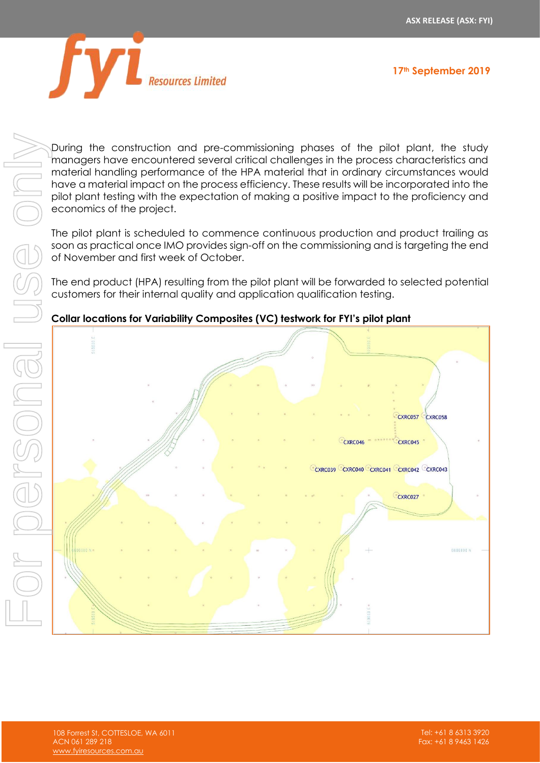

During the construction and pre-commissioning phases of the pilot plant, the study managers have encountered several critical challenges in the process characteristics and material handling performance of the HPA material that in ordinary circumstances would have a material impact on the process efficiency. These results will be incorporated into the pilot plant testing with the expectation of making a positive impact to the proficiency and economics of the project.

The pilot plant is scheduled to commence continuous production and product trailing as soon as practical once IMO provides sign-off on the commissioning and is targeting the end of November and first week of October.

The end product (HPA) resulting from the pilot plant will be forwarded to selected potential customers for their internal quality and application qualification testing.

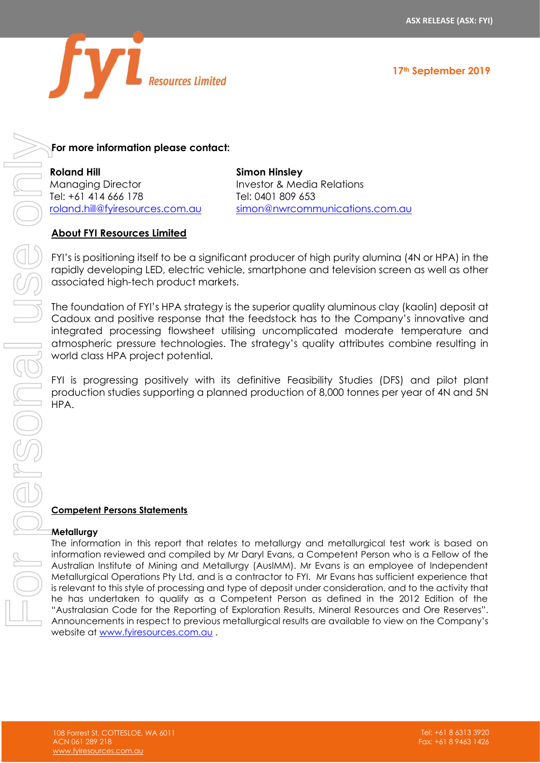



#### **For more information please contact:**

**Roland Hill** Managing Director Tel: +61 414 666 178 [roland.hill@fyiresources.com.au](mailto:roland.hill@fyiresources.com.au) **Simon Hinsley** Investor & Media Relations Tel: 0401 809 653 [simon@nwrcommunications.com.au](mailto:simon@nwrcommunications.com.au)

#### **About FYI Resources Limited**

FYI's is positioning itself to be a significant producer of high purity alumina (4N or HPA) in the rapidly developing LED, electric vehicle, smartphone and television screen as well as other associated high-tech product markets.

The foundation of FYI's HPA strategy is the superior quality aluminous clay (kaolin) deposit at Cadoux and positive response that the feedstock has to the Company's innovative and integrated processing flowsheet utilising uncomplicated moderate temperature and atmospheric pressure technologies. The strategy's quality attributes combine resulting in world class HPA project potential.

FYI is progressing positively with its definitive Feasibility Studies (DFS) and pilot plant production studies supporting a planned production of 8,000 tonnes per year of 4N and 5N HPA.

#### **Competent Persons Statements**

#### **Metallurgy**

The information in this report that relates to metallurgy and metallurgical test work is based on information reviewed and compiled by Mr Daryl Evans, a Competent Person who is a Fellow of the Australian Institute of Mining and Metallurgy (AusIMM). Mr Evans is an employee of Independent Metallurgical Operations Pty Ltd, and is a contractor to FYI. Mr Evans has sufficient experience that is relevant to this style of processing and type of deposit under consideration, and to the activity that he has undertaken to qualify as a Competent Person as defined in the 2012 Edition of the "Australasian Code for the Reporting of Exploration Results, Mineral Resources and Ore Reserves". For more informalion please contact:<br>
Moreophy Theodor Institute in results are available to previous metallurgical results are available to previous metallurgical results are available to provide the Company of the Compan website at [www.fyiresources.com.au](http://www.fyiresources.com.au/) .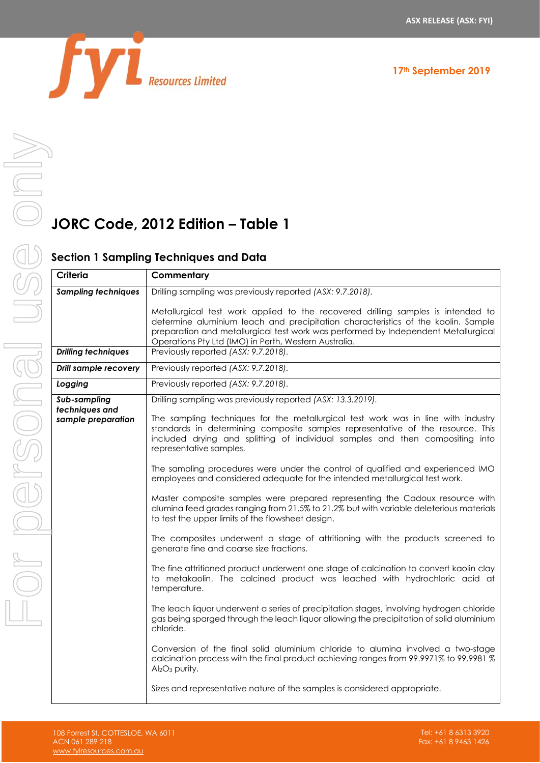

# **JORC Code, 2012 Edition – Table 1**

#### **Section 1 Sampling Techniques and Data**

| Criteria                             | Commentary                                                                                                                                                                                                                                                                                                           |
|--------------------------------------|----------------------------------------------------------------------------------------------------------------------------------------------------------------------------------------------------------------------------------------------------------------------------------------------------------------------|
| <b>Sampling techniques</b>           | Drilling sampling was previously reported (ASX: 9.7.2018).                                                                                                                                                                                                                                                           |
|                                      | Metallurgical test work applied to the recovered drilling samples is intended to<br>determine aluminium leach and precipitation characteristics of the kaolin. Sample<br>preparation and metallurgical test work was performed by Independent Metallurgical<br>Operations Pty Ltd (IMO) in Perth, Western Australia. |
| <b>Drilling techniques</b>           | Previously reported (ASX: 9.7.2018).                                                                                                                                                                                                                                                                                 |
| <b>Drill sample recovery</b>         | Previously reported (ASX: 9.7.2018).                                                                                                                                                                                                                                                                                 |
| Logging                              | Previously reported (ASX: 9.7.2018).                                                                                                                                                                                                                                                                                 |
| Sub-sampling                         | Drilling sampling was previously reported (ASX: 13.3.2019).                                                                                                                                                                                                                                                          |
| techniques and<br>sample preparation | The sampling techniques for the metallurgical test work was in line with industry<br>standards in determining composite samples representative of the resource. This<br>included drying and splitting of individual samples and then compositing into<br>representative samples.                                     |
|                                      | The sampling procedures were under the control of qualified and experienced IMO<br>employees and considered adequate for the intended metallurgical test work.                                                                                                                                                       |
|                                      | Master composite samples were prepared representing the Cadoux resource with<br>alumina feed grades ranging from 21.5% to 21.2% but with variable deleterious materials<br>to test the upper limits of the flowsheet design.                                                                                         |
|                                      | The composites underwent a stage of attritioning with the products screened to<br>generate fine and coarse size fractions.                                                                                                                                                                                           |
|                                      | The fine attritioned product underwent one stage of calcination to convert kaolin clay<br>to metakaolin. The calcined product was leached with hydrochloric acid at<br>temperature.                                                                                                                                  |
|                                      | The leach liquor underwent a series of precipitation stages, involving hydrogen chloride<br>gas being sparged through the leach liquor allowing the precipitation of solid aluminium<br>chloride.                                                                                                                    |
|                                      | Conversion of the final solid aluminium chloride to alumina involved a two-stage<br>calcination process with the final product achieving ranges from 99.9971% to 99.9981 %<br>Al <sub>2</sub> O <sub>3</sub> purity.                                                                                                 |
|                                      | Sizes and representative nature of the samples is considered appropriate.                                                                                                                                                                                                                                            |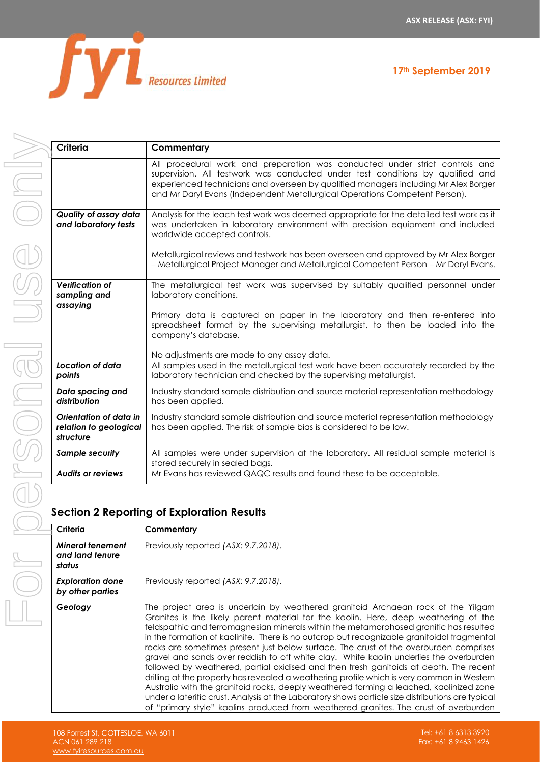

|  |  |  |  | 17 <sup>th</sup> September 2019 |  |
|--|--|--|--|---------------------------------|--|
|--|--|--|--|---------------------------------|--|

| <b>Criteria</b>                                               | Commentary                                                                                                                                                                                                                                                                                                                                        |
|---------------------------------------------------------------|---------------------------------------------------------------------------------------------------------------------------------------------------------------------------------------------------------------------------------------------------------------------------------------------------------------------------------------------------|
|                                                               | All procedural work and preparation was conducted under strict controls and<br>supervision. All testwork was conducted under test conditions by qualified and<br>experienced technicians and overseen by qualified managers including Mr Alex Borger<br>and Mr Daryl Evans (Independent Metallurgical Operations Competent Person).               |
| Quality of assay data<br>and laboratory tests                 | Analysis for the leach test work was deemed appropriate for the detailed test work as it<br>was undertaken in laboratory environment with precision equipment and included<br>worldwide accepted controls.                                                                                                                                        |
|                                                               | Metallurgical reviews and testwork has been overseen and approved by Mr Alex Borger<br>- Metallurgical Project Manager and Metallurgical Competent Person - Mr Daryl Evans.                                                                                                                                                                       |
| <b>Verification of</b><br>sampling and<br>assaying            | The metallurgical test work was supervised by suitably qualified personnel under<br>laboratory conditions.<br>Primary data is captured on paper in the laboratory and then re-entered into<br>spreadsheet format by the supervising metallurgist, to then be loaded into the<br>company's database.<br>No adjustments are made to any assay data. |
| Location of data<br>points                                    | All samples used in the metallurgical test work have been accurately recorded by the<br>laboratory technician and checked by the supervising metallurgist.                                                                                                                                                                                        |
| Data spacing and<br>distribution                              | Industry standard sample distribution and source material representation methodology<br>has been applied.                                                                                                                                                                                                                                         |
| Orientation of data in<br>relation to geological<br>structure | Industry standard sample distribution and source material representation methodology<br>has been applied. The risk of sample bias is considered to be low.                                                                                                                                                                                        |
| Sample security                                               | All samples were under supervision at the laboratory. All residual sample material is<br>stored securely in sealed bags.                                                                                                                                                                                                                          |
| <b>Audits or reviews</b>                                      | Mr Evans has reviewed QAQC results and found these to be acceptable.                                                                                                                                                                                                                                                                              |

### **Section 2 Reporting of Exploration Results**

| Criteria                                             | Commentary                                                                                                                                                                                                                                                                                                                                                                                                                                                                                                                                                                                                                                                                                                                                                                                                                                                                                                                                                                                                                         |
|------------------------------------------------------|------------------------------------------------------------------------------------------------------------------------------------------------------------------------------------------------------------------------------------------------------------------------------------------------------------------------------------------------------------------------------------------------------------------------------------------------------------------------------------------------------------------------------------------------------------------------------------------------------------------------------------------------------------------------------------------------------------------------------------------------------------------------------------------------------------------------------------------------------------------------------------------------------------------------------------------------------------------------------------------------------------------------------------|
| <b>Mineral tenement</b><br>and land tenure<br>status | Previously reported (ASX: 9.7.2018).                                                                                                                                                                                                                                                                                                                                                                                                                                                                                                                                                                                                                                                                                                                                                                                                                                                                                                                                                                                               |
| <b>Exploration done</b><br>by other parties          | Previously reported (ASX: 9.7.2018).                                                                                                                                                                                                                                                                                                                                                                                                                                                                                                                                                                                                                                                                                                                                                                                                                                                                                                                                                                                               |
| Geology                                              | The project area is underlain by weathered granitoid Archaean rock of the Yilgarn<br>Granites is the likely parent material for the kaolin. Here, deep weathering of the<br>feldspathic and ferromagnesian minerals within the metamorphosed granitic has resulted<br>in the formation of kaolinite. There is no outcrop but recognizable granitoidal fragmental<br>rocks are sometimes present just below surface. The crust of the overburden comprises<br>gravel and sands over reddish to off white clay. White kaolin underlies the overburden<br>followed by weathered, partial oxidised and then fresh ganitoids at depth. The recent<br>drilling at the property has revealed a weathering profile which is very common in Western<br>Australia with the granitoid rocks, deeply weathered forming a leached, kaolinized zone<br>under a lateritic crust. Analysis at the Laboratory shows particle size distributions are typical<br>of "primary style" kaolins produced from weathered granites. The crust of overburden |